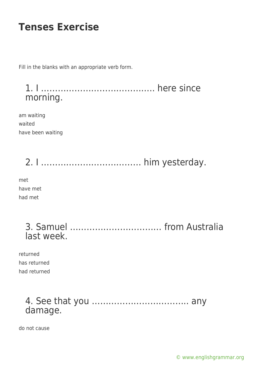Fill in the blanks with an appropriate verb form.

1. I ………………………………….. here since morning.

am waiting waited have been waiting

2. I ……………………………… him yesterday. met have met had met

| last week. |  |  |
|------------|--|--|

returned has returned had returned

#### 4. See that you …………………………….. any damage.

do not cause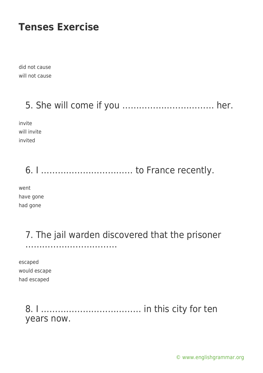did not cause will not cause

### 5. She will come if you …………………………… her.

invite will invite invited

# 6. I …………………………… to France recently.

went have gone had gone

> 7. The jail warden discovered that the prisoner ……………………………

escaped would escape had escaped

> 8. I ……………………………… in this city for ten years now.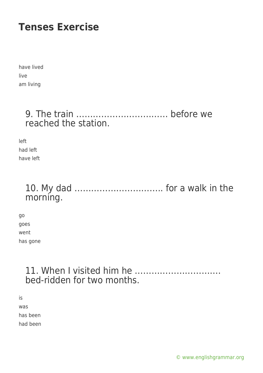have lived live am living

#### 9. The train …………………………… before we reached the station.

left had left have left

### 10. My dad ………………………….. for a walk in the morning.

go goes went has gone

#### 11. When I visited him he …………………………. bed-ridden for two months.

is was has been had been